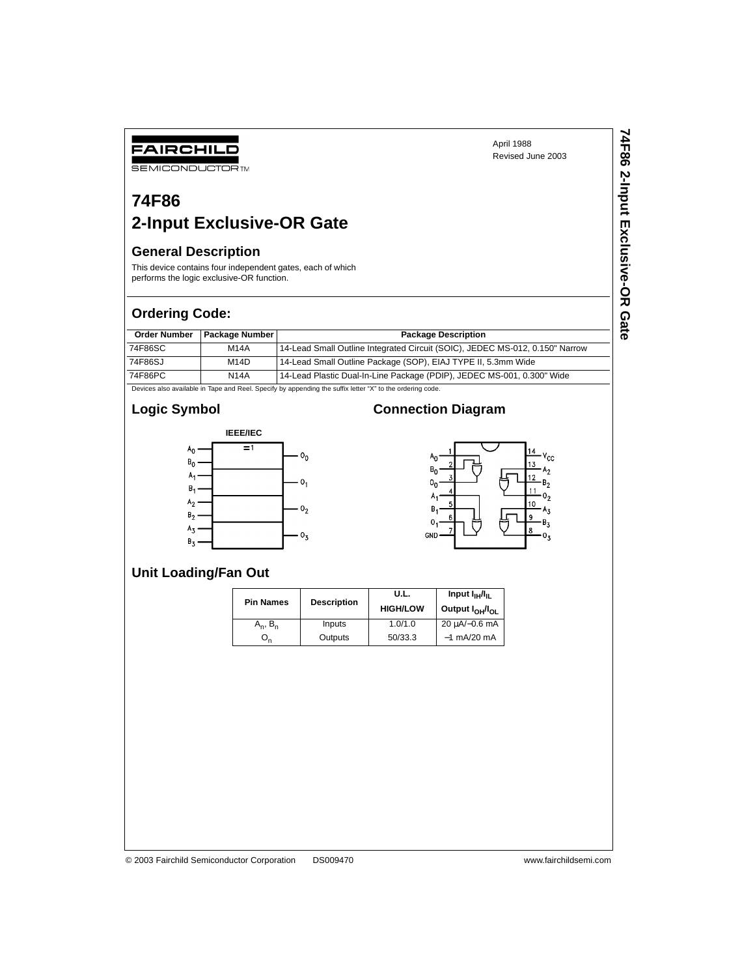# **SEMICONDUCTOR TM**

FAIRCHILD

### **74F86 2-Input Exclusive-OR Gate**

#### **General Description**

This device contains four independent gates, each of which performs the logic exclusive-OR function.

#### **Ordering Code:**

| <b>Order Number</b> | <b>Package Number</b> | <b>Package Description</b>                                                   |
|---------------------|-----------------------|------------------------------------------------------------------------------|
| 74F86SC             | <b>M14A</b>           | 14-Lead Small Outline Integrated Circuit (SOIC), JEDEC MS-012, 0.150" Narrow |
| 74F86SJ             | M14D                  | 14-Lead Small Outline Package (SOP), EIAJ TYPE II, 5.3mm Wide                |
| 74F86PC             | <b>N14A</b>           | 14-Lead Plastic Dual-In-Line Package (PDIP), JEDEC MS-001, 0.300" Wide       |

Devices also available in Tape and Reel. Specify by appending the suffix letter "X" to the ordering code.

#### **Logic Symbol**



#### **Connection Diagram**



#### **Unit Loading/Fan Out**

| <b>Pin Names</b> | <b>Description</b> | U.L.<br><b>HIGH/LOW</b> | Input $I_{\text{IH}}/I_{\text{IL}}$<br>Output I <sub>OH</sub> /I <sub>OL</sub> |  |
|------------------|--------------------|-------------------------|--------------------------------------------------------------------------------|--|
| $A_n$ , $B_n$    | Inputs             | 1.0/1.0                 | 20 uA/-0.6 mA                                                                  |  |
| Un               | Outputs            | 50/33.3                 | $-1$ mA/20 mA                                                                  |  |